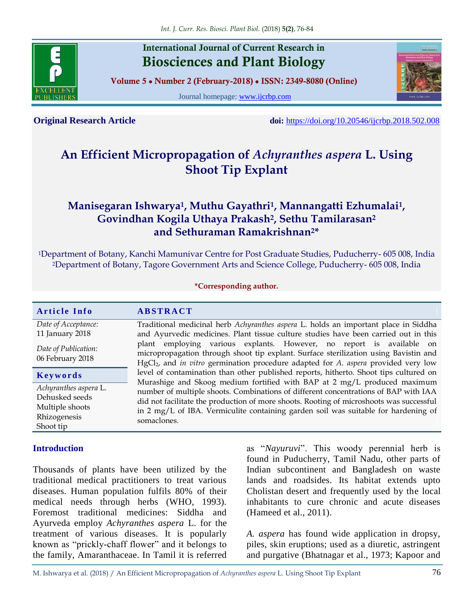

# **International Journal of Current Research in Biosciences and Plant Biology**

**Volume 5 ● Number 2 (February-2018) ● ISSN: 2349-8080 (Online)**

Journal homepage: [www.ijcrbp.com](http://www.ijcrbp.com/)



**Original Research Article doi:** <https://doi.org/10.20546/ijcrbp.2018.502.008>

# **An Efficient Micropropagation of** *Achyranthes aspera* **L. Using Shoot Tip Explant**

# **Manisegaran Ishwarya<sup>1</sup> , Muthu Gayathri<sup>1</sup> , Mannangatti Ezhumalai<sup>1</sup> , Govindhan Kogila Uthaya Prakash<sup>2</sup> , Sethu Tamilarasan<sup>2</sup> and Sethuraman Ramakrishnan2\***

<sup>1</sup>Department of Botany, Kanchi Mamunivar Centre for Post Graduate Studies, Puducherry- 605 008, India <sup>2</sup>Department of Botany, Tagore Government Arts and Science College, Puducherry- 605 008, India

#### **\*Corresponding author.**

| <b>Article Info</b>                                                                                 | <b>ABSTRACT</b>                                                                                                                                                                                                                                                                                                                                                                                                                                          |  |  |  |  |  |  |
|-----------------------------------------------------------------------------------------------------|----------------------------------------------------------------------------------------------------------------------------------------------------------------------------------------------------------------------------------------------------------------------------------------------------------------------------------------------------------------------------------------------------------------------------------------------------------|--|--|--|--|--|--|
| Date of Acceptance:<br>11 January 2018                                                              | Traditional medicinal herb Achyranthes aspera L. holds an important place in Siddha<br>and Ayurvedic medicines. Plant tissue culture studies have been carried out in this<br>plant employing various explants. However, no report is available on<br>micropropagation through shoot tip explant. Surface sterilization using Bavistin and<br>HgCl <sub>2</sub> , and in vitro germination procedure adapted for A. aspera provided very low             |  |  |  |  |  |  |
| Date of Publication:<br>06 February 2018                                                            |                                                                                                                                                                                                                                                                                                                                                                                                                                                          |  |  |  |  |  |  |
| Keywords<br>Achyranthes aspera L.<br>Dehusked seeds<br>Multiple shoots<br>Rhizogenesis<br>Shoot tip | level of contamination than other published reports, hitherto. Shoot tips cultured on<br>Murashige and Skoog medium fortified with BAP at 2 mg/L produced maximum<br>number of multiple shoots. Combinations of different concentrations of BAP with IAA<br>did not facilitate the production of more shoots. Rooting of microshoots was successful<br>in 2 mg/L of IBA. Vermiculite containing garden soil was suitable for hardening of<br>somaclones. |  |  |  |  |  |  |

#### **Introduction**

Thousands of plants have been utilized by the traditional medical practitioners to treat various diseases. Human population fulfils 80% of their medical needs through herbs (WHO, 1993). Foremost traditional medicines: Siddha and Ayurveda employ *Achyranthes aspera* L. for the treatment of various diseases. It is popularly known as "prickly-chaff flower" and it belongs to the family, Amaranthaceae. In Tamil it is referred as "*Nayuruvi*". This woody perennial herb is found in Puducherry, Tamil Nadu, other parts of Indian subcontinent and Bangladesh on waste lands and roadsides. Its habitat extends upto Cholistan desert and frequently used by the local inhabitants to cure chronic and acute diseases (Hameed et al., 2011).

*A. aspera* has found wide application in dropsy, piles, skin eruptions; used as a diuretic, astringent and purgative (Bhatnagar et al., 1973; Kapoor and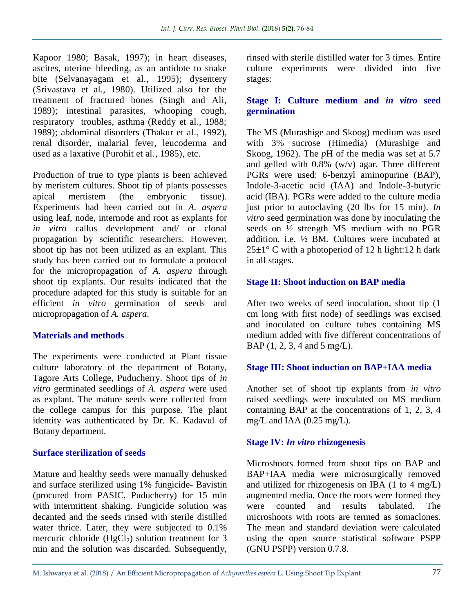Kapoor 1980; Basak, 1997); in heart diseases, ascites, uterine–bleeding, as an antidote to snake bite (Selvanayagam et al*.,* 1995); dysentery (Srivastava et al., 1980). Utilized also for the treatment of fractured bones (Singh and Ali, 1989); intestinal parasites, whooping cough, respiratory troubles, asthma (Reddy et al., 1988; 1989); abdominal disorders (Thakur et al*.,* 1992), renal disorder, malarial fever, leucoderma and used as a laxative (Purohit et al*.,* 1985), etc.

Production of true to type plants is been achieved by meristem cultures. Shoot tip of plants possesses apical mertistem (the embryonic tissue). Experiments had been carried out in *A. aspera* using leaf, node, internode and root as explants for *in vitro* callus development and/ or clonal propagation by scientific researchers. However, shoot tip has not been utilized as an explant. This study has been carried out to formulate a protocol for the micropropagation of *A. aspera* through shoot tip explants. Our results indicated that the procedure adapted for this study is suitable for an efficient *in vitro* germination of seeds and micropropagation of *A. aspera*.

### **Materials and methods**

The experiments were conducted at Plant tissue culture laboratory of the department of Botany, Tagore Arts College, Puducherry. Shoot tips of *in vitro* germinated seedlings of *A. aspera* were used as explant. The mature seeds were collected from the college campus for this purpose. The plant identity was authenticated by Dr. K. Kadavul of Botany department.

#### **Surface sterilization of seeds**

Mature and healthy seeds were manually dehusked and surface sterilized using 1% fungicide- Bavistin (procured from PASIC, Puducherry) for 15 min with intermittent shaking. Fungicide solution was decanted and the seeds rinsed with sterile distilled water thrice. Later, they were subjected to 0.1% mercuric chloride  $(HgCl<sub>2</sub>)$  solution treatment for 3 min and the solution was discarded. Subsequently,

rinsed with sterile distilled water for 3 times. Entire culture experiments were divided into five stages:

#### **Stage I: Culture medium and** *in vitro* **seed germination**

The MS (Murashige and Skoog) medium was used with 3% sucrose (Himedia) (Murashige and Skoog, 1962). The *p*H of the media was set at 5.7 and gelled with  $0.8\%$  (w/v) agar. Three different PGRs were used: 6-benzyl aminopurine (BAP), Indole-3-acetic acid (IAA) and Indole-3-butyric acid (IBA). PGRs were added to the culture media just prior to autoclaving (20 lbs for 15 min). *In vitro* seed germination was done by inoculating the seeds on ½ strength MS medium with no PGR addition, i.e. ½ BM. Cultures were incubated at  $25\pm1$ ° C with a photoperiod of 12 h light:12 h dark in all stages.

### **Stage II: Shoot induction on BAP media**

After two weeks of seed inoculation, shoot tip (1 cm long with first node) of seedlings was excised and inoculated on culture tubes containing MS medium added with five different concentrations of BAP (1, 2, 3, 4 and 5 mg/L).

### **Stage III: Shoot induction on BAP+IAA media**

Another set of shoot tip explants from *in vitro* raised seedlings were inoculated on MS medium containing BAP at the concentrations of 1, 2, 3, 4 mg/L and IAA (0.25 mg/L).

### **Stage IV:** *In vitro* **rhizogenesis**

Microshoots formed from shoot tips on BAP and BAP+IAA media were microsurgically removed and utilized for rhizogenesis on IBA (1 to 4 mg/L) augmented media. Once the roots were formed they were counted and results tabulated. The microshoots with roots are termed as somaclones. The mean and standard deviation were calculated using the open source statistical software PSPP (GNU PSPP) version 0.7.8.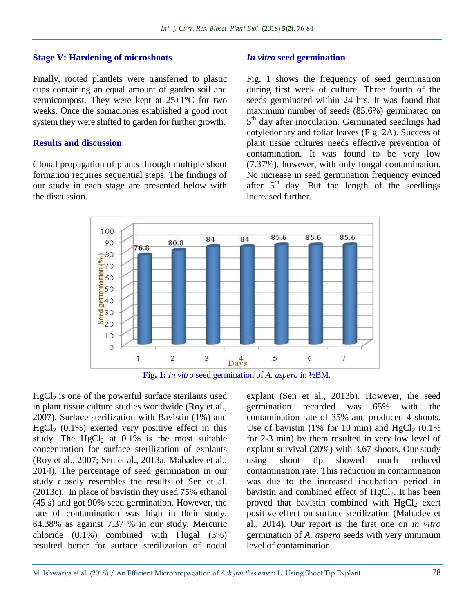#### **Stage V: Hardening of microshoots**

Finally, rooted plantlets were transferred to plastic cups containing an equal amount of garden soil and vermicompost. They were kept at  $25\pm1\textdegree C$  for two weeks. Once the somaclones established a good root system they were shifted to garden for further growth.

#### **Results and discussion**

Clonal propagation of plants through multiple shoot formation requires sequential steps. The findings of our study in each stage are presented below with the discussion.

#### *In vitro* **seed germination**

Fig. 1 shows the frequency of seed germination during first week of culture. Three fourth of the seeds germinated within 24 hrs. It was found that maximum number of seeds (85.6%) germinated on 5<sup>th</sup> day after inoculation. Germinated seedlings had cotyledonary and foliar leaves (Fig. 2A). Success of plant tissue cultures needs effective prevention of contamination. It was found to be very low (7.37%), however, with only fungal contamination. No increase in seed germination frequency evinced after 5<sup>th</sup> day. But the length of the seedlings increased further.





 $HgCl<sub>2</sub>$  is one of the powerful surface sterilants used in plant tissue culture studies worldwide (Roy et al., 2007). Surface sterilization with Bavistin (1%) and  $HgCl<sub>2</sub>$  (0.1%) exerted very positive effect in this study. The  $HgCl<sub>2</sub>$  at 0.1% is the most suitable concentration for surface sterilization of explants (Roy et al., 2007; Sen et al., 2013a; Mahadev et al., 2014). The percentage of seed germination in our study closely resembles the results of Sen et al. (2013c). In place of bavistin they used 75% ethanol (45 s) and got 90% seed germination. However, the rate of contamination was high in their study, 64.38% as against 7.37 % in our study. Mercuric chloride (0.1%) combined with Flugal (3%) resulted better for surface sterilization of nodal

explant (Sen et al., 2013b). However, the seed germination recorded was 65% with the contamination rate of 35% and produced 4 shoots. Use of bavistin (1% for 10 min) and  $HgCl<sub>2</sub>$  (0.1%) for 2-3 min) by them resulted in very low level of explant survival (20%) with 3.67 shoots. Our study using shoot tip showed much reduced contamination rate. This reduction in contamination was due to the increased incubation period in bavistin and combined effect of  $HgCl<sub>2</sub>$ . It has been proved that bavistin combined with  $HgCl<sub>2</sub>$  exert positive effect on surface sterilization (Mahadev et al., 2014). Our report is the first one on *in vitro* germination of *A. aspera* seeds with very minimum level of contamination.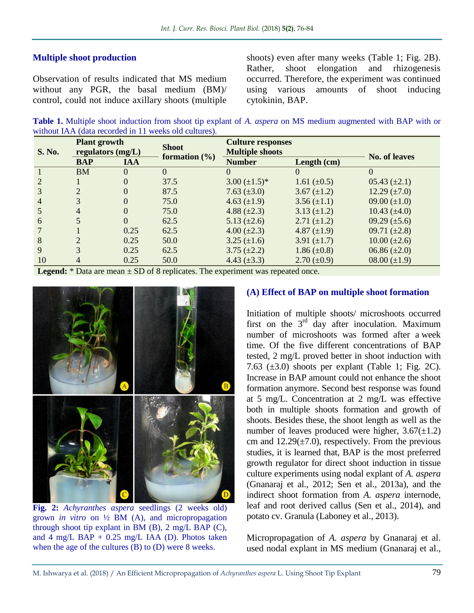## **Multiple shoot production**

Observation of results indicated that MS medium without any PGR, the basal medium (BM)/ control, could not induce axillary shoots (multiple shoots) even after many weeks (Table 1; Fig. 2B). Rather, shoot elongation and rhizogenesis occurred. Therefore, the experiment was continued using various amounts of shoot inducing cytokinin, BAP.

**Table 1.** Multiple shoot induction from shoot tip explant of *A. aspera* on MS medium augmented with BAP with or without IAA (data recorded in 11 weeks old cultures).

| S. No. | <b>Plant growth</b><br>regulators (mg/L) |            | <b>Shoot</b><br>formation $(\% )$ | <b>Culture responses</b><br><b>Multiple shoots</b> |                    | <b>No. of leaves</b> |
|--------|------------------------------------------|------------|-----------------------------------|----------------------------------------------------|--------------------|----------------------|
|        | <b>BAP</b>                               | <b>IAA</b> |                                   | <b>Number</b>                                      | Length (cm)        |                      |
|        | <b>BM</b>                                | $\Omega$   | $\Omega$                          | $\Omega$                                           | $\theta$           | $\Omega$             |
| 2      |                                          | $\Omega$   | 37.5                              | $3.00 \ (\pm 1.5)^*$                               | 1.61 $(\pm 0.5)$   | $05.43 (\pm 2.1)$    |
| 3      | $\overline{2}$                           | $\Omega$   | 87.5                              | 7.63 $(\pm 3.0)$                                   | 3.67 $(\pm 1.2)$   | $12.29 \ (\pm 7.0)$  |
| 4      | 3                                        | $\Omega$   | 75.0                              | 4.63 $(\pm 1.9)$                                   | $3.56 (\pm 1.1)$   | 09.00 $(\pm 1.0)$    |
|        | 4                                        | $\Omega$   | 75.0                              | 4.88 $(\pm 2.3)$                                   | $3.13 (\pm 1.2)$   | $10.43 \ (\pm 4.0)$  |
| 6      |                                          | $\Omega$   | 62.5                              | 5.13 $(\pm 2.6)$                                   | $2.71 (\pm 1.2)$   | 09.29 $(\pm 5.6)$    |
|        |                                          | 0.25       | 62.5                              | $4.00 (\pm 2.3)$                                   | 4.87 $(\pm 1.9)$   | 09.71 $(\pm 2.8)$    |
| 8      | $\overline{2}$                           | 0.25       | 50.0                              | $3.25 (\pm 1.6)$                                   | 3.91 $(\pm 1.7)$   | $10.00 (\pm 2.6)$    |
| 9      | 3                                        | 0.25       | 62.5                              | $3.75 \ (\pm 2.2)$                                 | $1.86 (\pm 0.8)$   | $06.86 (\pm 2.0)$    |
| 10     | 4                                        | 0.25       | 50.0                              | 4.43 $(\pm 3.3)$                                   | $2.70 \ (\pm 0.9)$ | $08.00 (\pm 1.9)$    |
|        |                                          |            |                                   |                                                    |                    |                      |

**Legend:**  $*$  Data are mean  $\pm$  SD of 8 replicates. The experiment was repeated once.



**Fig. 2:** *Achyranthes aspera* seedlings (2 weeks old) grown *in vitro* on ½ BM (A), and micropropagation through shoot tip explant in BM (B), 2 mg/L BAP (C), and  $4 \text{ mg/L } B\overrightarrow{AP} + 0.25 \text{ mg/L } IAA$  (D). Photos taken when the age of the cultures (B) to (D) were 8 weeks.

#### **(A) Effect of BAP on multiple shoot formation**

Initiation of multiple shoots/ microshoots occurred first on the  $3<sup>rd</sup>$  day after inoculation. Maximum number of microshoots was formed after a week time. Of the five different concentrations of BAP tested, 2 mg/L proved better in shoot induction with 7.63  $(\pm 3.0)$  shoots per explant (Table 1; Fig. 2C). Increase in BAP amount could not enhance the shoot formation anymore. Second best response was found at 5 mg/L. Concentration at 2 mg/L was effective both in multiple shoots formation and growth of shoots. Besides these, the shoot length as well as the number of leaves produced were higher,  $3.67(\pm 1.2)$ cm and  $12.29(\pm 7.0)$ , respectively. From the previous studies, it is learned that, BAP is the most preferred growth regulator for direct shoot induction in tissue culture experiments using nodal explant of *A. aspera*  (Gnanaraj et al., 2012; Sen et al., 2013a), and the indirect shoot formation from *A. aspera* internode, leaf and root derived callus (Sen et al., 2014), and potato cv. Granula (Laboney et al., 2013).

Micropropagation of *A. aspera* by Gnanaraj et al. used nodal explant in MS medium (Gnanaraj et al.,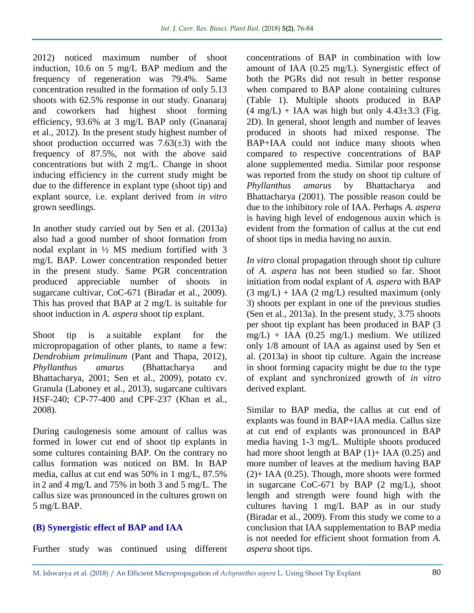2012) noticed maximum number of shoot induction, 10.6 on 5 mg/L BAP medium and the frequency of regeneration was 79.4%. Same concentration resulted in the formation of only 5.13 shoots with 62.5% response in our study. Gnanaraj and coworkers had highest shoot forming efficiency, 93.6% at 3 mg/L BAP only (Gnanaraj et al., 2012). In the present study highest number of shoot production occurred was  $7.63(\pm 3)$  with the frequency of 87.5%, not with the above said concentrations but with 2 mg/L. Change in shoot inducing efficiency in the current study might be due to the difference in explant type (shoot tip) and explant source, i.e. explant derived from *in vitro* grown seedlings.

In another study carried out by Sen et al. (2013a) also had a good number of shoot formation from nodal explant in ½ MS medium fortified with 3 mg/L BAP. Lower concentration responded better in the present study. Same PGR concentration produced appreciable number of shoots in sugarcane cultivar, CoC-671 (Biradar et al., 2009). This has proved that BAP at 2 mg/L is suitable for shoot induction in *A. aspera* shoot tip explant.

Shoot tip is a suitable explant for the micropropagation of other plants, to name a few: *Dendrobium primulinum* (Pant and Thapa, 2012), *Phyllanthus amarus* (Bhattacharya and Bhattacharya, 2001; Sen et al., 2009), potato cv. Granula (Laboney et al., 2013), sugarcane cultivars HSF-240; CP-77-400 and CPF-237 (Khan et al., 2008).

During caulogenesis some amount of callus was formed in lower cut end of shoot tip explants in some cultures containing BAP. On the contrary no callus formation was noticed on BM. In BAP media, callus at cut end was 50% in 1 mg/L, 87.5% in 2 and 4 mg/L and 75% in both 3 and 5 mg/L. The callus size was pronounced in the cultures grown on 5 mg/LBAP.

# **(B) Synergistic effect of BAP and IAA**

Further study was continued using different

concentrations of BAP in combination with low amount of IAA (0.25 mg/L). Synergistic effect of both the PGRs did not result in better response when compared to BAP alone containing cultures (Table 1). Multiple shoots produced in BAP  $(4 \text{ mg/L})$  + IAA was high but only 4.43 $\pm$ 3.3 (Fig. 2D). In general, shoot length and number of leaves produced in shoots had mixed response. The BAP+IAA could not induce many shoots when compared to respective concentrations of BAP alone supplemented media. Similar poor response was reported from the study on shoot tip culture of *Phyllanthus amarus* by Bhattacharya and Bhattacharya (2001). The possible reason could be due to the inhibitory role of IAA. Perhaps *A. aspera* is having high level of endogenous auxin which is evident from the formation of callus at the cut end of shoot tips in media having no auxin.

*In vitro* clonal propagation through shoot tip culture of *A. aspera* has not been studied so far. Shoot initiation from nodal explant of *A. aspera* with BAP  $(3 \text{ mg/L}) + IAA$   $(2 \text{ mg/L})$  resulted maximum (only 3) shoots per explant in one of the previous studies (Sen et al., 2013a). In the present study, 3.75 shoots per shoot tip explant has been produced in BAP (3  $mg/L$ ) + IAA (0.25 mg/L) medium. We utilized only 1/8 amount of IAA as against used by Sen et al. (2013a) in shoot tip culture. Again the increase in shoot forming capacity might be due to the type of explant and synchronized growth of *in vitro* derived explant.

Similar to BAP media, the callus at cut end of explants was found in BAP+IAA media. Callus size at cut end of explants was pronounced in BAP media having 1-3 mg/L. Multiple shoots produced had more shoot length at BAP  $(1)$ + IAA  $(0.25)$  and more number of leaves at the medium having BAP (2)+ IAA (0.25). Though, more shoots were formed in sugarcane CoC-671 by BAP (2 mg/L), shoot length and strength were found high with the cultures having 1 mg/L BAP as in our study (Biradar et al., 2009). From this study we come to a conclusion that IAA supplementation to BAP media is not needed for efficient shoot formation from *A. aspera* shoot tips.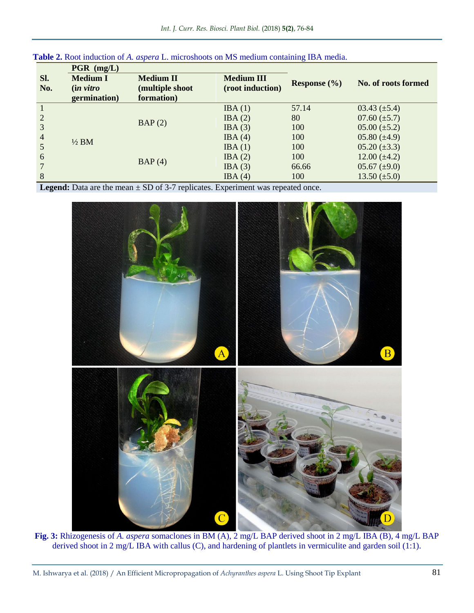|            | $PGR$ (mg/L)                         |                                     |                                       |                  |                     |
|------------|--------------------------------------|-------------------------------------|---------------------------------------|------------------|---------------------|
| SI.<br>No. | <b>Medium I</b><br><i>(in vitro)</i> | <b>Medium II</b><br>(multiple shoot | <b>Medium III</b><br>(root induction) | Response $(\% )$ | No. of roots formed |
|            | germination)                         | formation)                          |                                       |                  |                     |
|            | $\frac{1}{2}$ BM                     | BAP(2)                              | IBA(1)                                | 57.14            | $03.43 \ (\pm 5.4)$ |
| 2          |                                      |                                     | IBA(2)                                | 80               | $07.60 (\pm 5.7)$   |
| 3          |                                      |                                     | IBA(3)                                | 100              | $05.00 (\pm 5.2)$   |
| 4          |                                      |                                     | IBA(4)                                | 100              | $05.80 (\pm 4.9)$   |
|            |                                      | BAP(4)                              | IBA(1)                                | 100              | $05.20 (\pm 3.3)$   |
| 6          |                                      |                                     | IBA(2)                                | 100              | $12.00 (\pm 4.2)$   |
|            |                                      |                                     | IBA(3)                                | 66.66            | $05.67 (\pm 9.0)$   |
| 8          |                                      |                                     | IBA(4)                                | 100              | $13.50 \ (\pm 5.0)$ |

**Table 2.** Root induction of *A. aspera* L. microshoots on MS medium containing IBA media.

**Legend:** Data are the mean  $\pm$  SD of 3-7 replicates. Experiment was repeated once.



**Fig. 3:** Rhizogenesis of *A. aspera* somaclones in BM (A), 2 mg/L BAP derived shoot in 2 mg/L IBA (B), 4 mg/L BAP derived shoot in 2 mg/L IBA with callus (C), and hardening of plantlets in vermiculite and garden soil (1:1).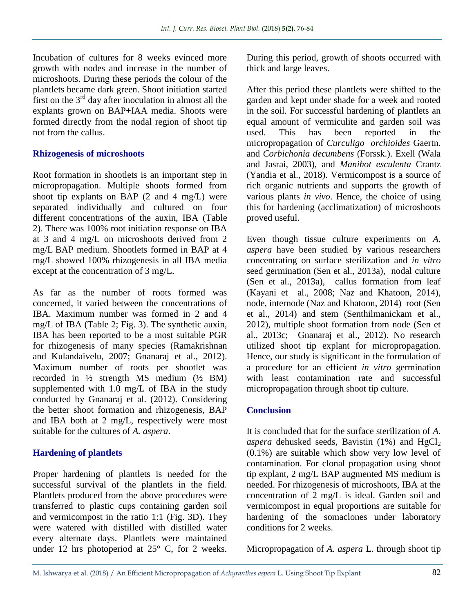Incubation of cultures for 8 weeks evinced more growth with nodes and increase in the number of microshoots. During these periods the colour of the plantlets became dark green. Shoot initiation started first on the  $3<sup>rd</sup>$  day after inoculation in almost all the explants grown on BAP+IAA media. Shoots were formed directly from the nodal region of shoot tip not from the callus.

## **Rhizogenesis of microshoots**

Root formation in shootlets is an important step in micropropagation. Multiple shoots formed from shoot tip explants on BAP (2 and 4 mg/L) were separated individually and cultured on four different concentrations of the auxin, IBA (Table 2). There was 100% root initiation response on IBA at 3 and 4 mg/L on microshoots derived from 2 mg/L BAP medium. Shootlets formed in BAP at 4 mg/L showed 100% rhizogenesis in all IBA media except at the concentration of 3 mg/L.

As far as the number of roots formed was concerned, it varied between the concentrations of IBA. Maximum number was formed in 2 and 4 mg/L of IBA (Table 2; Fig. 3). The synthetic auxin, IBA has been reported to be a most suitable PGR for rhizogenesis of many species (Ramakrishnan and Kulandaivelu, 2007; Gnanaraj et al., 2012). Maximum number of roots per shootlet was recorded in  $\frac{1}{2}$  strength MS medium ( $\frac{1}{2}$  BM) supplemented with 1.0 mg/L of IBA in the study conducted by Gnanaraj et al. (2012). Considering the better shoot formation and rhizogenesis, BAP and IBA both at 2 mg/L, respectively were most suitable for the cultures of *A. aspera*.

# **Hardening of plantlets**

Proper hardening of plantlets is needed for the successful survival of the plantlets in the field. Plantlets produced from the above procedures were transferred to plastic cups containing garden soil and vermicompost in the ratio 1:1 (Fig. 3D). They were watered with distilled with distilled water every alternate days. Plantlets were maintained under 12 hrs photoperiod at 25° C, for 2 weeks.

During this period, growth of shoots occurred with thick and large leaves.

After this period these plantlets were shifted to the garden and kept under shade for a week and rooted in the soil. For successful hardening of plantlets an equal amount of vermiculite and garden soil was used. This has been reported in the micropropagation of *Curculigo orchioides* Gaertn. and *Corbichonia decumbens* (Forssk.). Exell (Wala and Jasrai, 2003), and *Manihot esculenta* Crantz (Yandia et al., 2018). Vermicompost is a source of rich organic nutrients and supports the growth of various plants *in vivo*. Hence, the choice of using this for hardening (acclimatization) of microshoots proved useful.

Even though tissue culture experiments on *A. aspera* have been studied by various researchers concentrating on surface sterilization and *in vitro*  seed germination (Sen et al., 2013a), nodal culture (Sen et al., 2013a), callus formation from leaf (Kayani et al., 2008; Naz and Khatoon, 2014), node, internode (Naz and Khatoon, 2014) root (Sen et al., 2014) and stem (Senthilmanickam et al., 2012), multiple shoot formation from node (Sen et al., 2013c; Gnanaraj et al., 2012). No research utilized shoot tip explant for micropropagation. Hence, our study is significant in the formulation of a procedure for an efficient *in vitro* germination with least contamination rate and successful micropropagation through shoot tip culture.

# **Conclusion**

It is concluded that for the surface sterilization of *A. aspera* dehusked seeds, Bavistin  $(1%)$  and  $HgCl<sub>2</sub>$ (0.1%) are suitable which show very low level of contamination. For clonal propagation using shoot tip explant, 2 mg/L BAP augmented MS medium is needed. For rhizogenesis of microshoots, IBA at the concentration of 2 mg/L is ideal. Garden soil and vermicompost in equal proportions are suitable for hardening of the somaclones under laboratory conditions for 2 weeks.

Micropropagation of *A. aspera* L. through shoot tip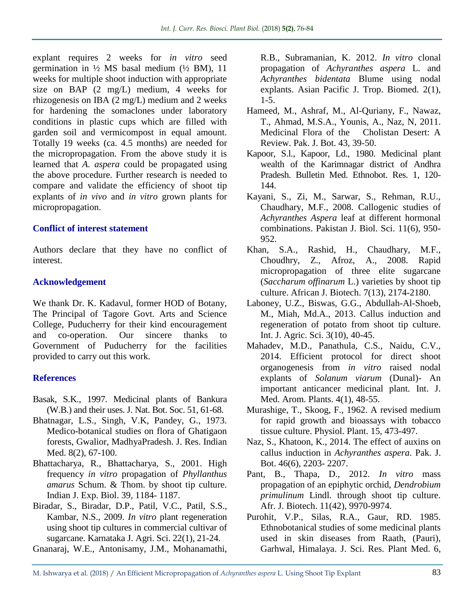explant requires 2 weeks for *in vitro* seed germination in  $\frac{1}{2}$  MS basal medium ( $\frac{1}{2}$  BM), 11 weeks for multiple shoot induction with appropriate size on BAP (2 mg/L) medium, 4 weeks for rhizogenesis on IBA (2 mg/L) medium and 2 weeks for hardening the somaclones under laboratory conditions in plastic cups which are filled with garden soil and vermicompost in equal amount. Totally 19 weeks (ca. 4.5 months) are needed for the micropropagation. From the above study it is learned that *A. aspera* could be propagated using the above procedure. Further research is needed to compare and validate the efficiency of shoot tip explants of *in vivo* and *in vitro* grown plants for micropropagation.

## **Conflict of interest statement**

Authors declare that they have no conflict of interest.

# **Acknowledgement**

We thank Dr. K. Kadavul, former HOD of Botany, The Principal of Tagore Govt. Arts and Science College, Puducherry for their kind encouragement and co-operation. Our sincere thanks to Government of Puducherry for the facilities provided to carry out this work.

# **References**

- Basak, S.K., 1997. Medicinal plants of Bankura (W.B.) and their uses. J. Nat. Bot. Soc. 51, 61-68.
- Bhatnagar, L.S., Singh, V.K, Pandey, G., 1973. Medico-botanical studies on flora of Ghatigaon forests, Gwalior, MadhyaPradesh. J. Res. Indian Med. 8(2), 67-100.
- Bhattacharya, R., Bhattacharya, S., 2001. High frequency *in vitro* propagation of *Phyllanthus amarus* Schum. & Thom. by shoot tip culture. Indian J. Exp. Biol. 39, 1184- 1187.
- Biradar, S., Biradar, D.P., Patil, V.C., Patil, S.S., Kambar, N.S., 2009. *In vitro* plant regeneration using shoot tip cultures in commercial cultivar of sugarcane. Karnataka J. Agri. Sci. 22(1), 21-24.
- Gnanaraj, W.E., Antonisamy, J.M., Mohanamathi,

R.B., Subramanian, K. 2012. *In vitro* clonal propagation of *Achyranthes aspera* L. and *Achyranthes bidentata* Blume using nodal explants. Asian Pacific J. Trop. Biomed. 2(1),  $1 - 5$ .

- Hameed, M., Ashraf, M., Al-Quriany, F., Nawaz, T., Ahmad, M.S.A., Younis, A., Naz, N, 2011. Medicinal Flora of the Cholistan Desert: A Review. Pak. J. Bot. 43, 39-50.
- Kapoor, S.l., Kapoor, Ld., 1980. Medicinal plant wealth of the Karimnagar district of Andhra Pradesh. Bulletin Med. Ethnobot. Res. 1, 120- 144.
- Kayani, S., Zi, M., Sarwar, S., Rehman, R.U., Chaudhary, M.F., 2008. Callogenic studies of *Achyranthes Aspera* leaf at different hormonal combinations. Pakistan J. Biol. Sci. 11(6), 950- 952.
- Khan, S.A., Rashid, H., Chaudhary, M.F., Choudhry, Z., Afroz, A., 2008. Rapid micropropagation of three elite sugarcane (*Saccharum offinarum* L.) varieties by shoot tip culture. African J. Biotech. 7(13), 2174-2180.
- Laboney, U.Z., Biswas, G.G., Abdullah-Al-Shoeb, M., Miah, Md.A., 2013. Callus induction and regeneration of potato from shoot tip culture. Int. J. Agric. Sci. 3(10), 40-45.
- Mahadev, M.D., Panathula, C.S., Naidu, C.V., 2014. Efficient protocol for direct shoot organogenesis from *in vitro* raised nodal explants of *Solanum viarum* (Dunal)- An important anticancer medicinal plant. Int. J. Med. Arom. Plants. 4(1), 48-55.
- Murashige, T., Skoog, F., 1962. A revised medium for rapid growth and bioassays with tobacco tissue culture. Physiol. Plant. 15, 473-497*.*
- Naz, S., Khatoon, K., 2014. The effect of auxins on callus induction in *Achyranthes aspera*. Pak. J. Bot. 46(6), 2203- 2207.
- Pant, B., Thapa, D., 2012. *In vitro* mass propagation of an epiphytic orchid, *Dendrobium primulinum* Lindl. through shoot tip culture. Afr. J. Biotech. 11(42), 9970-9974.
- Purohit, V.P., Silas, R.A., Gaur, RD. 1985. Ethnobotanical studies of some medicinal plants used in skin diseases from Raath, (Pauri), Garhwal, Himalaya. J. Sci. Res. Plant Med. 6,